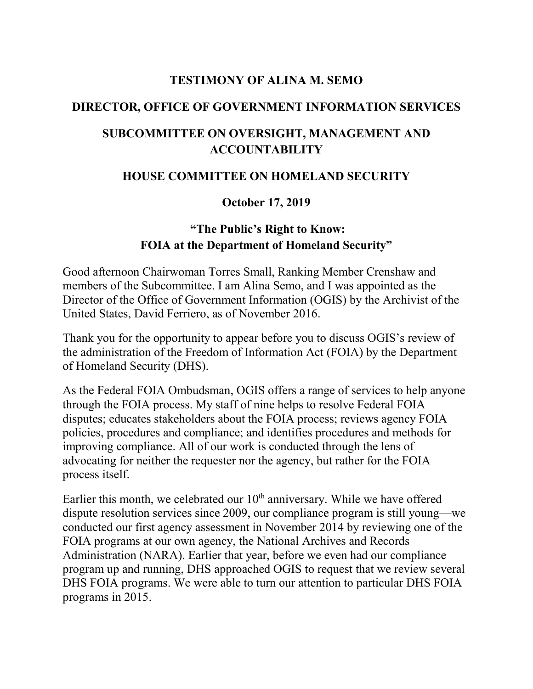#### **TESTIMONY OF ALINA M. SEMO**

#### **DIRECTOR, OFFICE OF GOVERNMENT INFORMATION SERVICES**

## **SUBCOMMITTEE ON OVERSIGHT, MANAGEMENT AND ACCOUNTABILITY**

### **HOUSE COMMITTEE ON HOMELAND SECURITY**

### **October 17, 2019**

## **"The Public's Right to Know: FOIA at the Department of Homeland Security"**

Good afternoon Chairwoman Torres Small, Ranking Member Crenshaw and members of the Subcommittee. I am Alina Semo, and I was appointed as the Director of the Office of Government Information (OGIS) by the Archivist of the United States, David Ferriero, as of November 2016.

Thank you for the opportunity to appear before you to discuss OGIS's review of the administration of the Freedom of Information Act (FOIA) by the Department of Homeland Security (DHS).

As the Federal FOIA Ombudsman, OGIS offers a range of services to help anyone through the FOIA process. My staff of nine helps to resolve Federal FOIA disputes; educates stakeholders about the FOIA process; reviews agency FOIA policies, procedures and compliance; and identifies procedures and methods for improving compliance. All of our work is conducted through the lens of advocating for neither the requester nor the agency, but rather for the FOIA process itself.

Earlier this month, we celebrated our  $10<sup>th</sup>$  anniversary. While we have offered dispute resolution services since 2009, our compliance program is still young—we conducted our first agency assessment in November 2014 by reviewing one of the FOIA programs at our own agency, the National Archives and Records Administration (NARA). Earlier that year, before we even had our compliance program up and running, DHS approached OGIS to request that we review several DHS FOIA programs. We were able to turn our attention to particular DHS FOIA programs in 2015.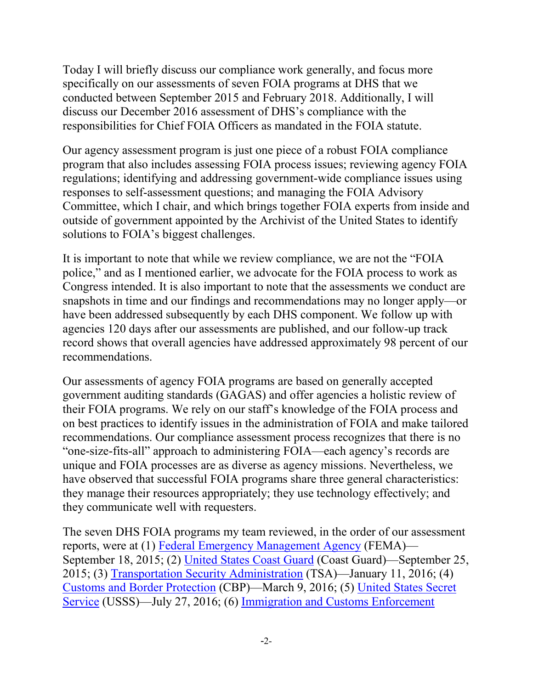Today I will briefly discuss our compliance work generally, and focus more specifically on our assessments of seven FOIA programs at DHS that we conducted between September 2015 and February 2018. Additionally, I will discuss our December 2016 assessment of DHS's compliance with the responsibilities for Chief FOIA Officers as mandated in the FOIA statute.

Our agency assessment program is just one piece of a robust FOIA compliance program that also includes assessing FOIA process issues; reviewing agency FOIA regulations; identifying and addressing government-wide compliance issues using responses to self-assessment questions; and managing the FOIA Advisory Committee, which I chair, and which brings together FOIA experts from inside and outside of government appointed by the Archivist of the United States to identify solutions to FOIA's biggest challenges.

It is important to note that while we review compliance, we are not the "FOIA police," and as I mentioned earlier, we advocate for the FOIA process to work as Congress intended. It is also important to note that the assessments we conduct are snapshots in time and our findings and recommendations may no longer apply—or have been addressed subsequently by each DHS component. We follow up with agencies 120 days after our assessments are published, and our follow-up track record shows that overall agencies have addressed approximately 98 percent of our recommendations.

Our assessments of agency FOIA programs are based on generally accepted government auditing standards (GAGAS) and offer agencies a holistic review of their FOIA programs. We rely on our staff's knowledge of the FOIA process and on best practices to identify issues in the administration of FOIA and make tailored recommendations. Our compliance assessment process recognizes that there is no "one-size-fits-all" approach to administering FOIA—each agency's records are unique and FOIA processes are as diverse as agency missions. Nevertheless, we have observed that successful FOIA programs share three general characteristics: they manage their resources appropriately; they use technology effectively; and they communicate well with requesters.

The seven DHS FOIA programs my team reviewed, in the order of our assessment reports, were at (1) [Federal Emergency Management Agency](https://www.archives.gov/ogis/foia-compliance-program/agency-compliance-reports/dhs/fema) (FEMA)— September 18, 2015; (2) [United States Coast Guard](https://www.archives.gov/ogis/foia-compliance-program/agency-compliance-reports/dhs/uscg) (Coast Guard)—September 25, 2015; (3) [Transportation Security Administration](https://www.archives.gov/ogis/foia-compliance-program/agency-compliance-reports/dhs/tsa) (TSA)—January 11, 2016; (4) [Customs and Border Protection](https://www.archives.gov/ogis/foia-compliance-program/agency-compliance-reports/dhs/cbp) (CBP)—March 9, 2016; (5) [United States](https://www.archives.gov/ogis/foia-compliance-program/agency-compliance-reports/dhs/usss) Secret [Service](https://www.archives.gov/ogis/foia-compliance-program/agency-compliance-reports/dhs/usss) (USSS)—July 27, 2016; (6) [Immigration and Customs Enforcement](https://www.archives.gov/ogis/foia-compliance-program/agency-compliance-reports/dhs/ice)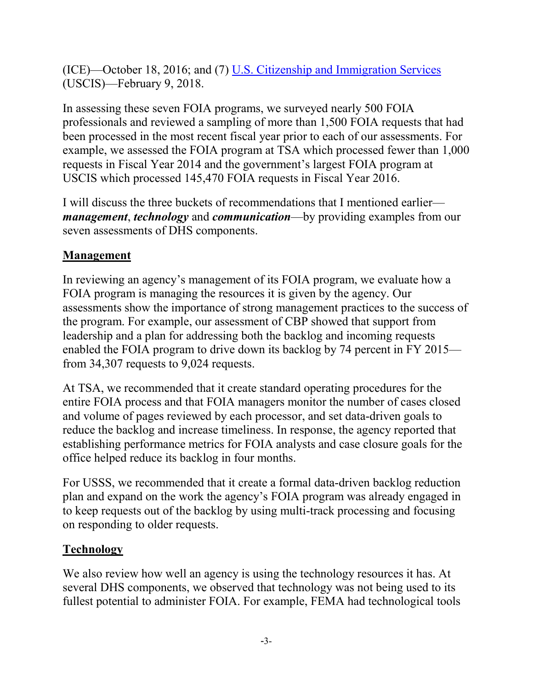(ICE)—October 18, 2016; and (7) [U.S. Citizenship and Immigration Services](https://www.archives.gov/ogis/foia-compliance-program/agency-compliance-reports/dhs/uscis) (USCIS)—February 9, 2018.

In assessing these seven FOIA programs, we surveyed nearly 500 FOIA professionals and reviewed a sampling of more than 1,500 FOIA requests that had been processed in the most recent fiscal year prior to each of our assessments. For example, we assessed the FOIA program at TSA which processed fewer than 1,000 requests in Fiscal Year 2014 and the government's largest FOIA program at USCIS which processed 145,470 FOIA requests in Fiscal Year 2016.

I will discuss the three buckets of recommendations that I mentioned earlier *management*, *technology* and *communication*—by providing examples from our seven assessments of DHS components.

# **Management**

In reviewing an agency's management of its FOIA program, we evaluate how a FOIA program is managing the resources it is given by the agency. Our assessments show the importance of strong management practices to the success of the program. For example, our assessment of CBP showed that support from leadership and a plan for addressing both the backlog and incoming requests enabled the FOIA program to drive down its backlog by 74 percent in FY 2015 from 34,307 requests to 9,024 requests.

At TSA, we recommended that it create standard operating procedures for the entire FOIA process and that FOIA managers monitor the number of cases closed and volume of pages reviewed by each processor, and set data-driven goals to reduce the backlog and increase timeliness. In response, the agency reported that establishing performance metrics for FOIA analysts and case closure goals for the office helped reduce its backlog in four months.

For USSS, we recommended that it create a formal data-driven backlog reduction plan and expand on the work the agency's FOIA program was already engaged in to keep requests out of the backlog by using multi-track processing and focusing on responding to older requests.

### **Technology**

We also review how well an agency is using the technology resources it has. At several DHS components, we observed that technology was not being used to its fullest potential to administer FOIA. For example, FEMA had technological tools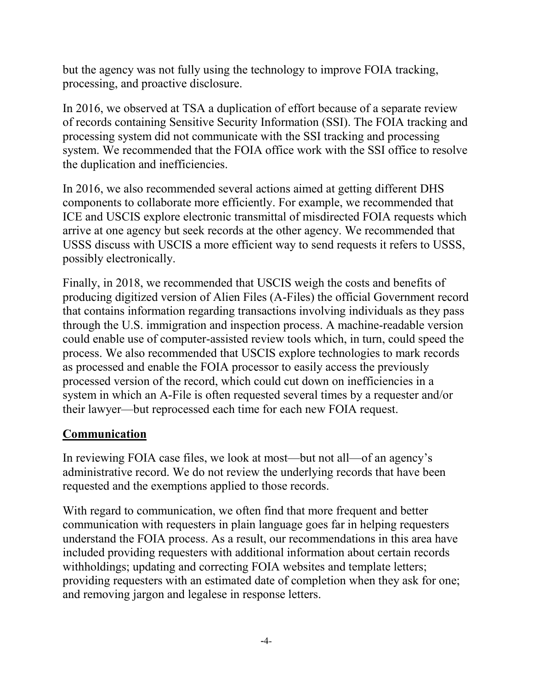but the agency was not fully using the technology to improve FOIA tracking, processing, and proactive disclosure.

In 2016, we observed at TSA a duplication of effort because of a separate review of records containing Sensitive Security Information (SSI). The FOIA tracking and processing system did not communicate with the SSI tracking and processing system. We recommended that the FOIA office work with the SSI office to resolve the duplication and inefficiencies.

In 2016, we also recommended several actions aimed at getting different DHS components to collaborate more efficiently. For example, we recommended that ICE and USCIS explore electronic transmittal of misdirected FOIA requests which arrive at one agency but seek records at the other agency. We recommended that USSS discuss with USCIS a more efficient way to send requests it refers to USSS, possibly electronically.

Finally, in 2018, we recommended that USCIS weigh the costs and benefits of producing digitized version of Alien Files (A-Files) the official Government record that contains information regarding transactions involving individuals as they pass through the U.S. immigration and inspection process. A machine-readable version could enable use of computer-assisted review tools which, in turn, could speed the process. We also recommended that USCIS explore technologies to mark records as processed and enable the FOIA processor to easily access the previously processed version of the record, which could cut down on inefficiencies in a system in which an A-File is often requested several times by a requester and/or their lawyer—but reprocessed each time for each new FOIA request.

# **Communication**

In reviewing FOIA case files, we look at most—but not all—of an agency's administrative record. We do not review the underlying records that have been requested and the exemptions applied to those records.

With regard to communication, we often find that more frequent and better communication with requesters in plain language goes far in helping requesters understand the FOIA process. As a result, our recommendations in this area have included providing requesters with additional information about certain records withholdings; updating and correcting FOIA websites and template letters; providing requesters with an estimated date of completion when they ask for one; and removing jargon and legalese in response letters.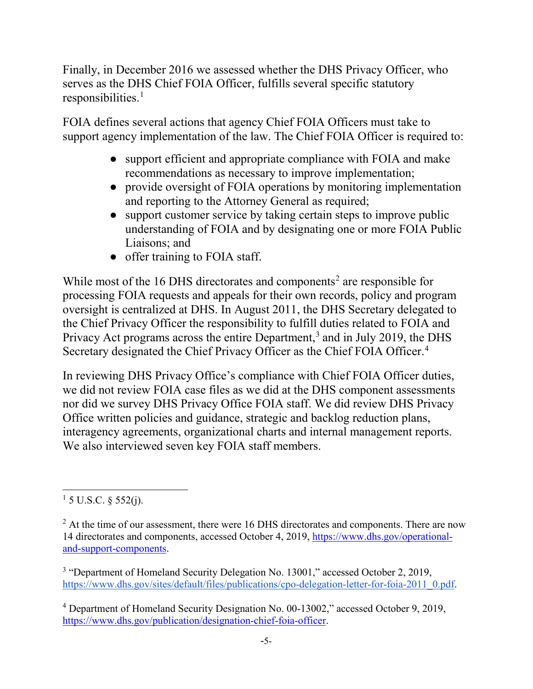Finally, in December 2016 we assessed whether the DHS Privacy Officer, who serves as the DHS Chief FOIA Officer, fulfills several specific statutory  $responsibleilities.<sup>1</sup>$  $responsibleilities.<sup>1</sup>$  $responsibleilities.<sup>1</sup>$ 

FOIA defines several actions that agency Chief FOIA Officers must take to support agency implementation of the law. The Chief FOIA Officer is required to:

- support efficient and appropriate compliance with FOIA and make recommendations as necessary to improve implementation;
- provide oversight of FOIA operations by monitoring implementation and reporting to the Attorney General as required;
- support customer service by taking certain steps to improve public understanding of FOIA and by designating one or more FOIA Public Liaisons; and
- offer training to FOIA staff.

While most of the 16 DHS directorates and components<sup>[2](#page-4-1)</sup> are responsible for processing FOIA requests and appeals for their own records, policy and program oversight is centralized at DHS. In August 2011, the DHS Secretary delegated to the Chief Privacy Officer the responsibility to fulfill duties related to FOIA and Privacy Act programs across the entire Department, [3](#page-4-2) and in July 2019, the DHS Secretary designated the Chief Privacy Officer as the Chief FOIA Officer. [4](#page-4-3)

In reviewing DHS Privacy Office's compliance with Chief FOIA Officer duties, we did not review FOIA case files as we did at the DHS component assessments nor did we survey DHS Privacy Office FOIA staff. We did review DHS Privacy Office written policies and guidance, strategic and backlog reduction plans, interagency agreements, organizational charts and internal management reports. We also interviewed seven key FOIA staff members.

<span id="page-4-0"></span><sup>&</sup>lt;sup>1</sup> 5 U.S.C. § 552(j).

<span id="page-4-1"></span> $2$  At the time of our assessment, there were 16 DHS directorates and components. There are now 14 directorates and components, accessed October 4, 2019, [https://www.dhs.gov/operational](https://www.dhs.gov/operational-and-support-components)[and-support-components.](https://www.dhs.gov/operational-and-support-components)

<span id="page-4-2"></span><sup>&</sup>lt;sup>3</sup> "Department of Homeland Security Delegation No. 13001[,](https://www.dhs.gov/sites/default/files/publications/cpo-delegation-letter-for-foia-2011_0.pdf)" accessed October 2, 2019, [https://www.dhs.gov/sites/default/files/publications/cpo-delegation-letter-for-foia-2011\\_0.pdf.](https://www.dhs.gov/sites/default/files/publications/cpo-delegation-letter-for-foia-2011_0.pdf)

<span id="page-4-3"></span><sup>4</sup> Department of Homeland Security Designation No. 00-13002," accessed October 9, 2019, [https://www.dhs.gov/publication/designation-chief-foia-officer.](https://www.dhs.gov/publication/designation-chief-foia-officer)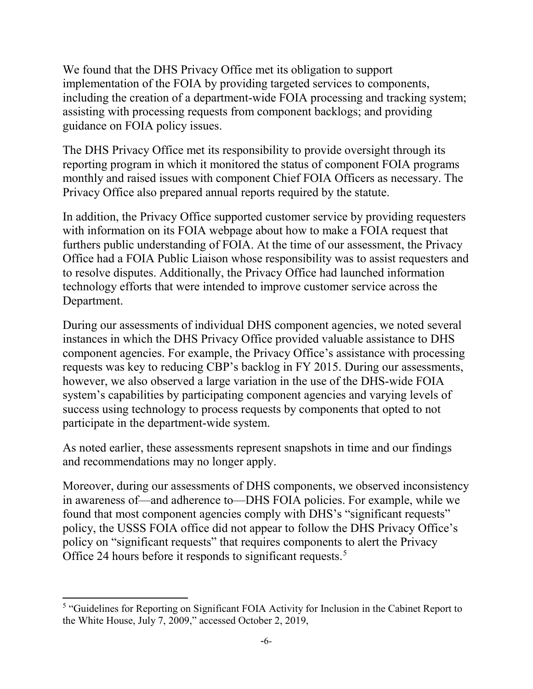We found that the DHS Privacy Office met its obligation to support implementation of the FOIA by providing targeted services to components, including the creation of a department-wide FOIA processing and tracking system; assisting with processing requests from component backlogs; and providing guidance on FOIA policy issues.

The DHS Privacy Office met its responsibility to provide oversight through its reporting program in which it monitored the status of component FOIA programs monthly and raised issues with component Chief FOIA Officers as necessary. The Privacy Office also prepared annual reports required by the statute.

In addition, the Privacy Office supported customer service by providing requesters with information on its FOIA webpage about how to make a FOIA request that furthers public understanding of FOIA. At the time of our assessment, the Privacy Office had a FOIA Public Liaison whose responsibility was to assist requesters and to resolve disputes. Additionally, the Privacy Office had launched information technology efforts that were intended to improve customer service across the Department.

During our assessments of individual DHS component agencies, we noted several instances in which the DHS Privacy Office provided valuable assistance to DHS component agencies. For example, the Privacy Office's assistance with processing requests was key to reducing CBP's backlog in FY 2015. During our assessments, however, we also observed a large variation in the use of the DHS-wide FOIA system's capabilities by participating component agencies and varying levels of success using technology to process requests by components that opted to not participate in the department-wide system.

As noted earlier, these assessments represent snapshots in time and our findings and recommendations may no longer apply.

Moreover, during our assessments of DHS components, we observed inconsistency in awareness of—and adherence to—DHS FOIA policies. For example, while we found that most component agencies comply with DHS's "significant requests" policy, the USSS FOIA office did not appear to follow the DHS Privacy Office's policy on "significant requests" that requires components to alert the Privacy Office 24 hours before it responds to significant requests.<sup>[5](#page-5-0)</sup>

<span id="page-5-0"></span><sup>&</sup>lt;sup>5</sup> "Guidelines for Reporting on Significant FOIA Activity for Inclusion in the Cabinet Report to the White House, July 7, 2009," accessed October 2, 2019,